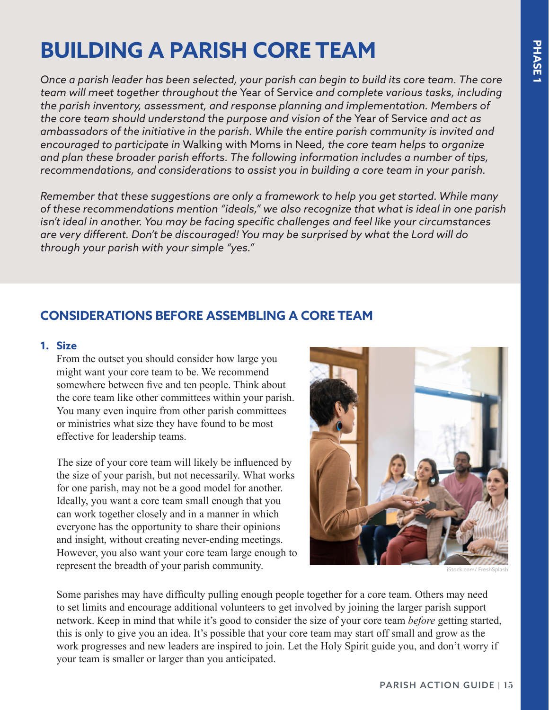# **BUILDING A PARISH CORE TEAM**

*Once a parish leader has been selected, your parish can begin to build its core team. The core team will meet together throughout the* Year of Service *and complete various tasks, including the parish inventory, assessment, and response planning and implementation. Members of the core team should understand the purpose and vision of the* Year of Service *and act as ambassadors of the initiative in the parish. While the entire parish community is invited and encouraged to participate in* Walking with Moms in Need*, the core team helps to organize and plan these broader parish efforts. The following information includes a number of tips, recommendations, and considerations to assist you in building a core team in your parish.* 

*Remember that these suggestions are only a framework to help you get started. While many of these recommendations mention "ideals," we also recognize that what is ideal in one parish isn't ideal in another. You may be facing specific challenges and feel like your circumstances are very different. Don't be discouraged! You may be surprised by what the Lord will do through your parish with your simple "yes."* 

# **CONSIDERATIONS BEFORE ASSEMBLING A CORE TEAM**

### **1. Size**

From the outset you should consider how large you might want your core team to be. We recommend somewhere between five and ten people. Think about the core team like other committees within your parish. You many even inquire from other parish committees or ministries what size they have found to be most effective for leadership teams.

The size of your core team will likely be influenced by the size of your parish, but not necessarily. What works for one parish, may not be a good model for another. Ideally, you want a core team small enough that you can work together closely and in a manner in which everyone has the opportunity to share their opinions and insight, without creating never-ending meetings. However, you also want your core team large enough to represent the breadth of your parish community.



iStock.com/ FreshSplash

Some parishes may have difficulty pulling enough people together for a core team. Others may need to set limits and encourage additional volunteers to get involved by joining the larger parish support network. Keep in mind that while it's good to consider the size of your core team *before* getting started, this is only to give you an idea. It's possible that your core team may start off small and grow as the work progresses and new leaders are inspired to join. Let the Holy Spirit guide you, and don't worry if your team is smaller or larger than you anticipated.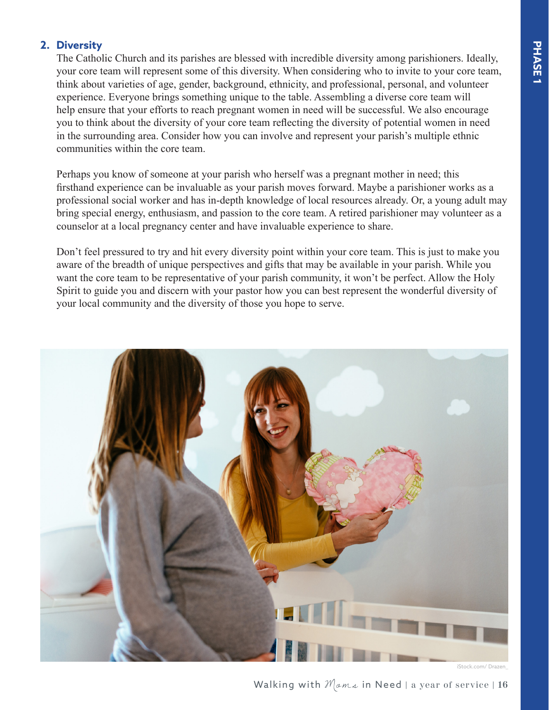## **2. Diversity**

The Catholic Church and its parishes are blessed with incredible diversity among parishioners. Ideally, your core team will represent some of this diversity. When considering who to invite to your core team, think about varieties of age, gender, background, ethnicity, and professional, personal, and volunteer experience. Everyone brings something unique to the table. Assembling a diverse core team will help ensure that your efforts to reach pregnant women in need will be successful. We also encourage you to think about the diversity of your core team reflecting the diversity of potential women in need in the surrounding area. Consider how you can involve and represent your parish's multiple ethnic communities within the core team.

Perhaps you know of someone at your parish who herself was a pregnant mother in need; this firsthand experience can be invaluable as your parish moves forward. Maybe a parishioner works as a professional social worker and has in-depth knowledge of local resources already. Or, a young adult may bring special energy, enthusiasm, and passion to the core team. A retired parishioner may volunteer as a counselor at a local pregnancy center and have invaluable experience to share.

Don't feel pressured to try and hit every diversity point within your core team. This is just to make you aware of the breadth of unique perspectives and gifts that may be available in your parish. While you want the core team to be representative of your parish community, it won't be perfect. Allow the Holy Spirit to guide you and discern with your pastor how you can best represent the wonderful diversity of your local community and the diversity of those you hope to serve.



iStock.com/ Drazen\_